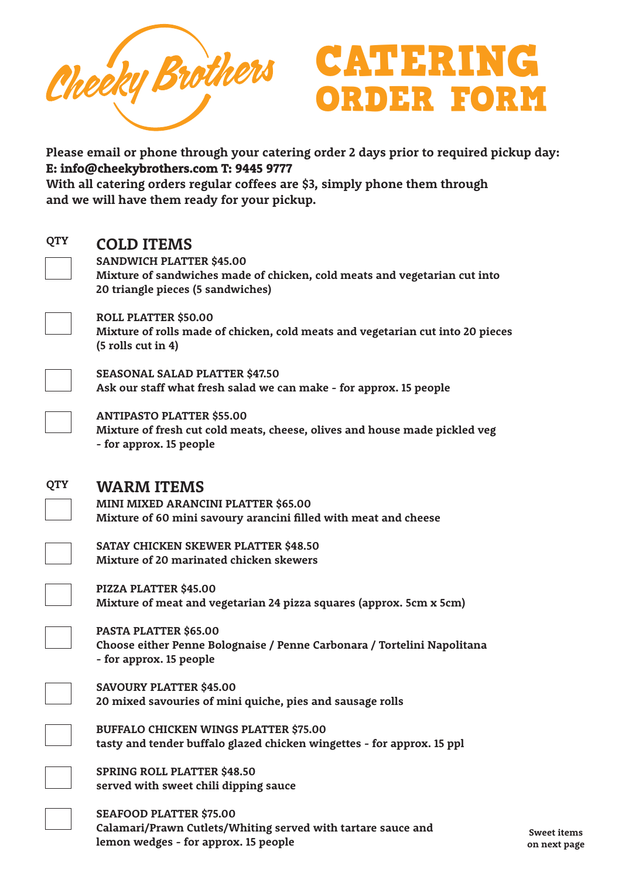



**Please email or phone through your catering order 2 days prior to required pickup day: E: info@cheekybrothers.com T: 9445 9777**

**With all catering orders regular coffees are \$3, simply phone them through and we will have them ready for your pickup.**

### **QTY**

## **COLD ITEMS**

**SANDWICH PLATTER \$45.00 Mixture of sandwiches made of chicken, cold meats and vegetarian cut into 20 triangle pieces (5 sandwiches)**



**ROLL PLATTER \$50.00 Mixture of rolls made of chicken, cold meats and vegetarian cut into 20 pieces (5 rolls cut in 4)**



**SEASONAL SALAD PLATTER \$47.50 Ask our staff what fresh salad we can make - for approx. 15 people**



**QTY**

**ANTIPASTO PLATTER \$55.00 Mixture of fresh cut cold meats, cheese, olives and house made pickled veg - for approx. 15 people**

## **WARM ITEMS**

**MINI MIXED ARANCINI PLATTER \$65.00 Mixture of 60 mini savoury arancini filled with meat and cheese**



**SATAY CHICKEN SKEWER PLATTER \$48.50 Mixture of 20 marinated chicken skewers**

**PIZZA PLATTER \$45.00 Mixture of meat and vegetarian 24 pizza squares (approx. 5cm x 5cm)**

**PASTA PLATTER \$65.00 Choose either Penne Bolognaise / Penne Carbonara / Tortelini Napolitana - for approx. 15 people**



**SAVOURY PLATTER \$45.00 20 mixed savouries of mini quiche, pies and sausage rolls**

**BUFFALO CHICKEN WINGS PLATTER \$75.00 tasty and tender buffalo glazed chicken wingettes - for approx. 15 ppl**

**SPRING ROLL PLATTER \$48.50 served with sweet chili dipping sauce**

**SEAFOOD PLATTER \$75.00 Calamari/Prawn Cutlets/Whiting served with tartare sauce and lemon wedges - for approx. 15 people**